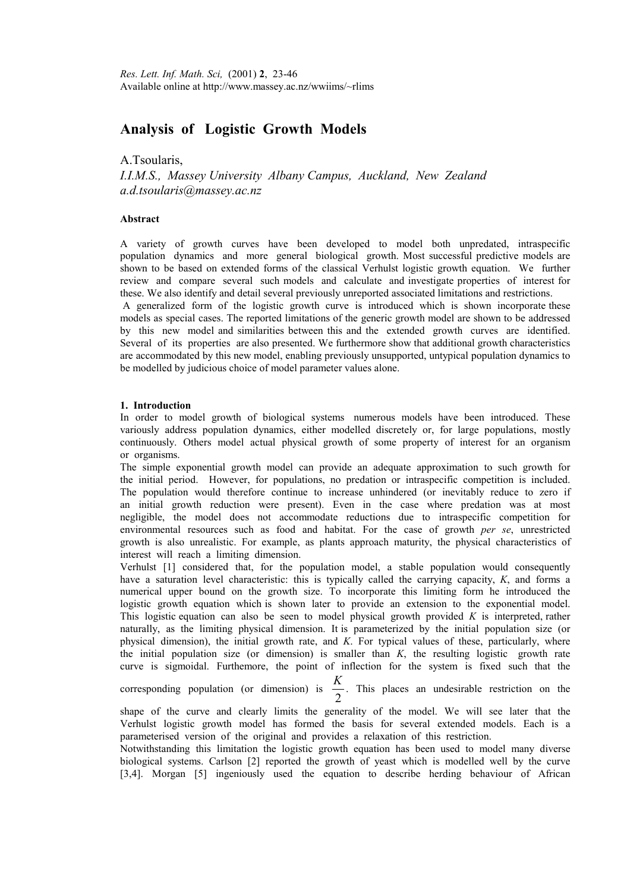# **Analysis of Logistic Growth Models**

A.Tsoularis,

*I.I.M.S., Massey University Albany Campus, Auckland, New Zealand a.d.tsoularis@massey.ac.nz* 

# **Abstract**

A variety of growth curves have been developed to model both unpredated, intraspecific population dynamics and more general biological growth. Most successful predictive models are shown to be based on extended forms of the classical Verhulst logistic growth equation. We further review and compare several such models and calculate and investigate properties of interest for these. We also identify and detail several previously unreported associated limitations and restrictions. A generalized form of the logistic growth curve is introduced which is shown incorporate these

models as special cases. The reported limitations of the generic growth model are shown to be addressed by this new model and similarities between this and the extended growth curves are identified. Several of its properties are also presented. We furthermore show that additional growth characteristics are accommodated by this new model, enabling previously unsupported, untypical population dynamics to be modelled by judicious choice of model parameter values alone.

#### **1. Introduction**

In order to model growth of biological systems numerous models have been introduced. These variously address population dynamics, either modelled discretely or, for large populations, mostly continuously. Others model actual physical growth of some property of interest for an organism or organisms.

The simple exponential growth model can provide an adequate approximation to such growth for the initial period. However, for populations, no predation or intraspecific competition is included. The population would therefore continue to increase unhindered (or inevitably reduce to zero if an initial growth reduction were present). Even in the case where predation was at most negligible, the model does not accommodate reductions due to intraspecific competition for environmental resources such as food and habitat. For the case of growth *per se*, unrestricted growth is also unrealistic. For example, as plants approach maturity, the physical characteristics of interest will reach a limiting dimension.

Verhulst [1] considered that, for the population model, a stable population would consequently have a saturation level characteristic: this is typically called the carrying capacity, *K*, and forms a numerical upper bound on the growth size. To incorporate this limiting form he introduced the logistic growth equation which is shown later to provide an extension to the exponential model. This logistic equation can also be seen to model physical growth provided *K* is interpreted, rather naturally, as the limiting physical dimension. It is parameterized by the initial population size (or physical dimension), the initial growth rate, and *K*. For typical values of these, particularly, where the initial population size (or dimension) is smaller than *K*, the resulting logistic growth rate curve is sigmoidal. Furthemore, the point of inflection for the system is fixed such that the

corresponding population (or dimension) is  $\frac{1}{2}$  $\frac{K}{\sqrt{2}}$ . This places an undesirable restriction on the

shape of the curve and clearly limits the generality of the model. We will see later that the Verhulst logistic growth model has formed the basis for several extended models. Each is a parameterised version of the original and provides a relaxation of this restriction.

Notwithstanding this limitation the logistic growth equation has been used to model many diverse biological systems. Carlson [2] reported the growth of yeast which is modelled well by the curve [3,4]. Morgan [5] ingeniously used the equation to describe herding behaviour of African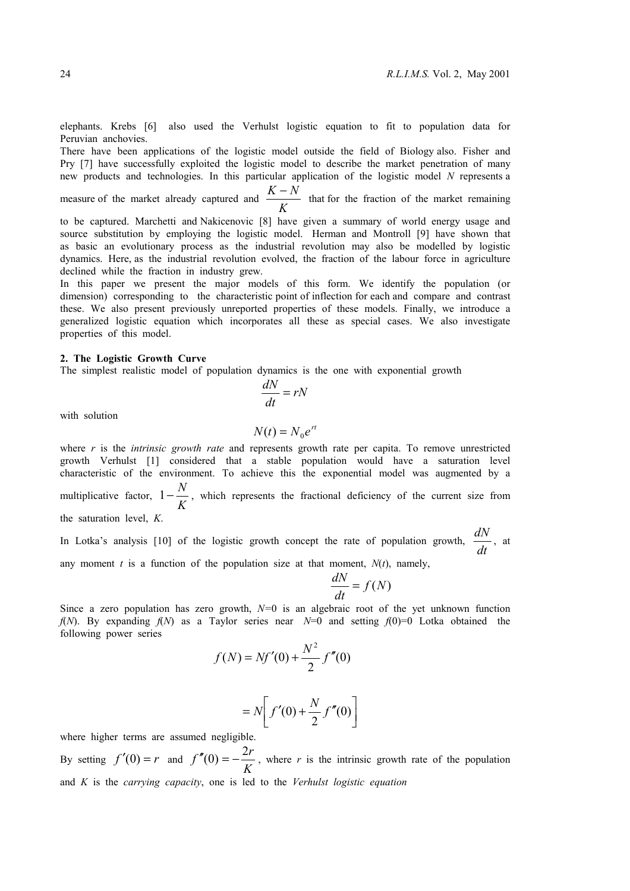elephants. Krebs [6] also used the Verhulst logistic equation to fit to population data for Peruvian anchovies.

There have been applications of the logistic model outside the field of Biology also. Fisher and Pry [7] have successfully exploited the logistic model to describe the market penetration of many new products and technologies. In this particular application of the logistic model *N* represents a

measure of the market already captured and *<sup>K</sup>*  $\frac{K-N}{K-N}$  that for the fraction of the market remaining

to be captured. Marchetti and Nakicenovic [8] have given a summary of world energy usage and source substitution by employing the logistic model. Herman and Montroll [9] have shown that as basic an evolutionary process as the industrial revolution may also be modelled by logistic dynamics. Here, as the industrial revolution evolved, the fraction of the labour force in agriculture declined while the fraction in industry grew.

In this paper we present the major models of this form. We identify the population (or dimension) corresponding to the characteristic point of inflection for each and compare and contrast these. We also present previously unreported properties of these models. Finally, we introduce a generalized logistic equation which incorporates all these as special cases. We also investigate properties of this model.

### **2. The Logistic Growth Curve**

The simplest realistic model of population dynamics is the one with exponential growth

$$
\frac{dN}{dt} = rN
$$

with solution

$$
N(t) = N_0 e^{rt}
$$

where *r* is the *intrinsic growth rate* and represents growth rate per capita. To remove unrestricted growth Verhulst [1] considered that a stable population would have a saturation level characteristic of the environment. To achieve this the exponential model was augmented by a multiplicative factor,  $1 - \frac{K}{K}$  $1-\frac{N}{\sigma}$ , which represents the fractional deficiency of the current size from the saturation level, *K*.

In Lotka's analysis [10] of the logistic growth concept the rate of population growth,  $\frac{d\vec{r}}{dt}$  $\frac{dN}{dx}$ , at

any moment  $t$  is a function of the population size at that moment,  $N(t)$ , namely,

$$
\frac{dN}{dt} = f(N)
$$

Since a zero population has zero growth, *N=*0 is an algebraic root of the yet unknown function *f*(*N*). By expanding *f*(*N*) as a Taylor series near *N*=0 and setting *f*(0)=0 Lotka obtained the following power series

$$
f(N) = Nf'(0) + \frac{N^2}{2} f''(0)
$$

$$
=N\left[f'(0)+\frac{N}{2}f''(0)\right]
$$

where higher terms are assumed negligible.

By setting  $f'(0) = r$  and *K*  $f''(0) = -\frac{2r}{r}$ , where *r* is the intrinsic growth rate of the population and *K* is the *carrying capacity*, one is led to the *Verhulst logistic equation*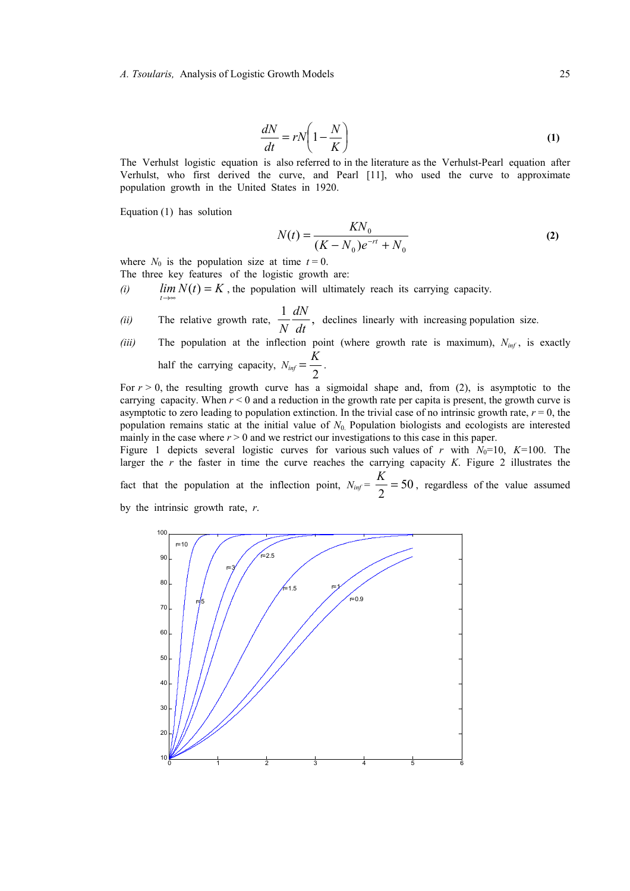*A. Tsoularis,* Analysis of Logistic Growth Models 25

$$
\frac{dN}{dt} = rN\left(1 - \frac{N}{K}\right) \tag{1}
$$

The Verhulst logistic equation is also referred to in the literature as the Verhulst-Pearl equation after Verhulst, who first derived the curve, and Pearl [11], who used the curve to approximate population growth in the United States in 1920.

Equation (1) has solution

$$
N(t) = \frac{KN_0}{(K - N_0)e^{-rt} + N_0}
$$
 (2)

where  $N_0$  is the population size at time  $t = 0$ . The three key features of the logistic growth are:

- *(i)*  $\lim_{t \to \infty} N(t) = K$ , the population will ultimately reach its carrying capacity.
- *(ii)* The relative growth rate,  $\frac{1}{\sqrt{1-x^2}}$ , *dt dN*  $\frac{du}{dx}$ , declines linearly with increasing population size.
- *(iii)* The population at the inflection point (where growth rate is maximum),  $N_{inf}$ , is exactly half the carrying capacity,  $N_{inf} = \frac{1}{2}$  $=\frac{K}{\epsilon}$ .

For  $r > 0$ , the resulting growth curve has a sigmoidal shape and, from (2), is asymptotic to the carrying capacity. When  $r < 0$  and a reduction in the growth rate per capita is present, the growth curve is asymptotic to zero leading to population extinction. In the trivial case of no intrinsic growth rate,  $r = 0$ , the population remains static at the initial value of  $N_0$ . Population biologists and ecologists are interested mainly in the case where  $r > 0$  and we restrict our investigations to this case in this paper.

Figure 1 depicts several logistic curves for various such values of *r* with  $N_0=10$ ,  $K=100$ . The larger the *r* the faster in time the curve reaches the carrying capacity *K*. Figure 2 illustrates the fact that the population at the inflection point,  $N_{\text{inf}} = \frac{K}{2} = 50$ , regardless of the value assumed by the intrinsic growth rate, *r*.

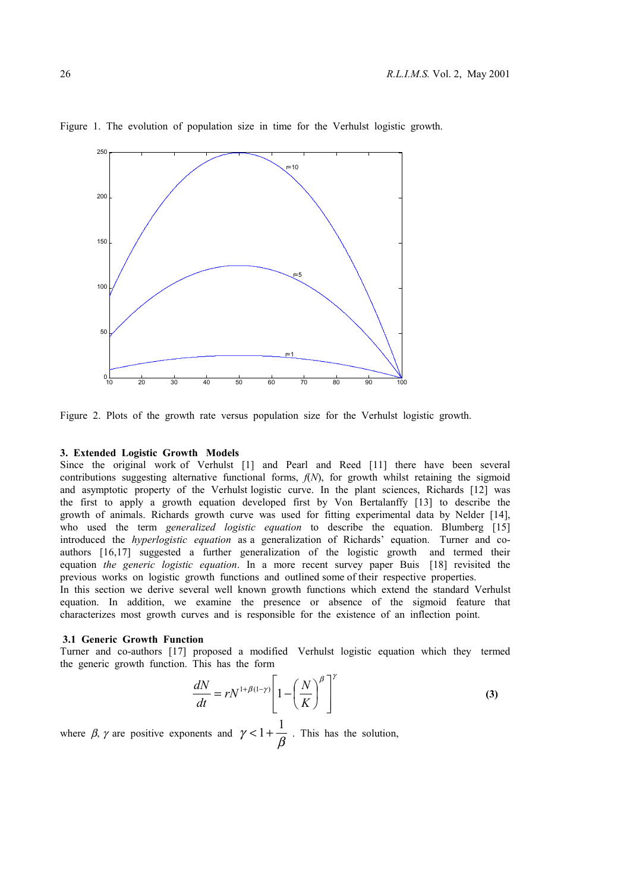

Figure 1. The evolution of population size in time for the Verhulst logistic growth.

Figure 2. Plots of the growth rate versus population size for the Verhulst logistic growth.

### **3. Extended Logistic Growth Models**

Since the original work of Verhulst [1] and Pearl and Reed [11] there have been several contributions suggesting alternative functional forms, *f*(*N*), for growth whilst retaining the sigmoid and asymptotic property of the Verhulst logistic curve. In the plant sciences, Richards [12] was the first to apply a growth equation developed first by Von Bertalanffy [13] to describe the growth of animals. Richards growth curve was used for fitting experimental data by Nelder [14], who used the term *generalized logistic equation* to describe the equation. Blumberg [15] introduced the *hyperlogistic equation* as a generalization of Richards' equation. Turner and coauthors [16,17] suggested a further generalization of the logistic growth and termed their equation *the generic logistic equation*. In a more recent survey paper Buis [18] revisited the previous works on logistic growth functions and outlined some of their respective properties.

In this section we derive several well known growth functions which extend the standard Verhulst equation. In addition, we examine the presence or absence of the sigmoid feature that characterizes most growth curves and is responsible for the existence of an inflection point.

#### **3.1 Generic Growth Function**

Turner and co-authors [17] proposed a modified Verhulst logistic equation which they termed the generic growth function. This has the form

$$
\frac{dN}{dt} = rN^{1+\beta(1-\gamma)} \left[ 1 - \left(\frac{N}{K}\right)^{\beta} \right]^{\gamma}
$$
 (3)

where  $\beta$ ,  $\gamma$  are positive exponents and  $\gamma < 1 + \frac{1}{\beta}$  $\lt 1 + \frac{1}{\epsilon}$ . This has the solution,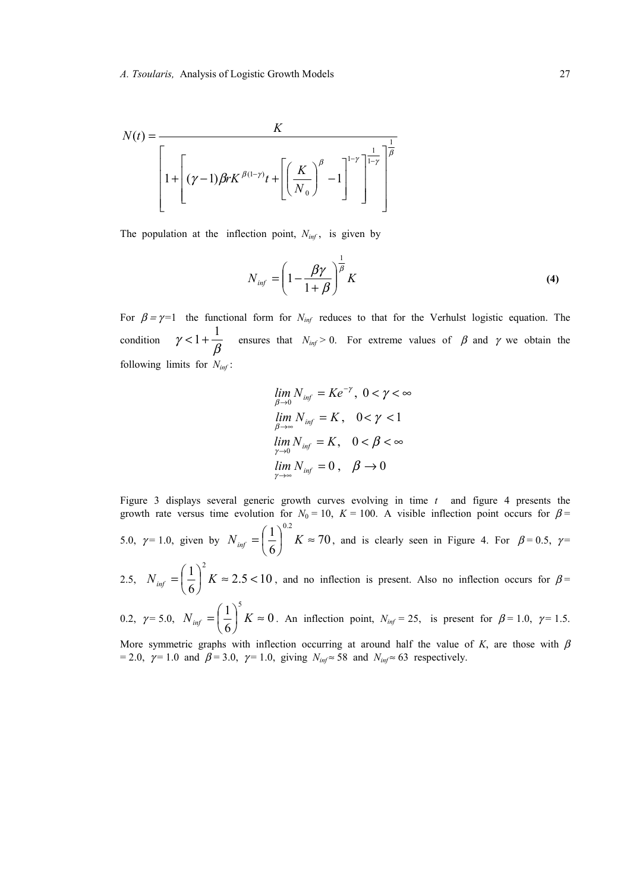

The population at the inflection point,  $N_{inf}$ , is given by

$$
N_{\text{inf}} = \left(1 - \frac{\beta \gamma}{1 + \beta}\right)^{\frac{1}{\beta}} K \tag{4}
$$

For  $\beta = \gamma = 1$  the functional form for  $N_{inf}$  reduces to that for the Verhulst logistic equation. The condition  $\gamma < 1 + \frac{\overline{\beta}}{\beta}$  $1 + \frac{1}{\epsilon}$  ensures that  $N_{inf} > 0$ . For extreme values of  $\beta$  and  $\gamma$  we obtain the following limits for *Ninf* :

$$
\lim_{\beta \to 0} N_{inf} = Ke^{-\gamma}, \ 0 < \gamma < \infty
$$
\n
$$
\lim_{\beta \to \infty} N_{inf} = K, \quad 0 < \gamma < 1
$$
\n
$$
\lim_{\gamma \to 0} N_{inf} = K, \quad 0 < \beta < \infty
$$
\n
$$
\lim_{\gamma \to \infty} N_{inf} = 0, \quad \beta \to 0
$$

Figure 3 displays several generic growth curves evolving in time *t* and figure 4 presents the growth rate versus time evolution for  $N_0 = 10$ ,  $K = 100$ . A visible inflection point occurs for  $\beta =$ 5.0,  $\gamma = 1.0$ , given by  $N_{inf} = \frac{1}{\epsilon}$   $K \approx 70$ 6  $1)^{0.2}$  $\left(\frac{1}{6}\right)^{0.2} K \approx$  $N_{\text{inf}} = \left(\frac{1}{6}\right)^{0.2} K \approx 70$ , and is clearly seen in Figure 4. For  $\beta = 0.5$ ,  $\gamma =$ 2.5,  $N_{inf} = \frac{1}{2}$   $K \approx 2.5 < 10$  $1)^2$ 

6  $\left(\frac{1}{6}\right)^2 K \approx 2.5 <$  $N_{inf} = \left(\frac{1}{6}\right)^2 K \approx 2.5 < 10$ , and no inflection is present. Also no inflection occurs for  $\beta =$  $1)^{5}$ 

0.2,  $\gamma = 5.0$ ,  $N_{inf} = \frac{1}{2}$   $K \approx 0$ 6  $\left(\frac{1}{6}\right)^5 K \approx$  $N_{inf} = \left(\frac{1}{6}\right)^5 K \approx 0$ . An inflection point,  $N_{inf} = 25$ , is present for  $\beta = 1.0$ ,  $\gamma = 1.5$ .

More symmetric graphs with inflection occurring at around half the value of  $K$ , are those with  $\beta$ = 2.0,  $\gamma$  = 1.0 and  $\beta$  = 3.0,  $\gamma$  = 1.0, giving  $N_{inf} \approx 58$  and  $N_{inf} \approx 63$  respectively.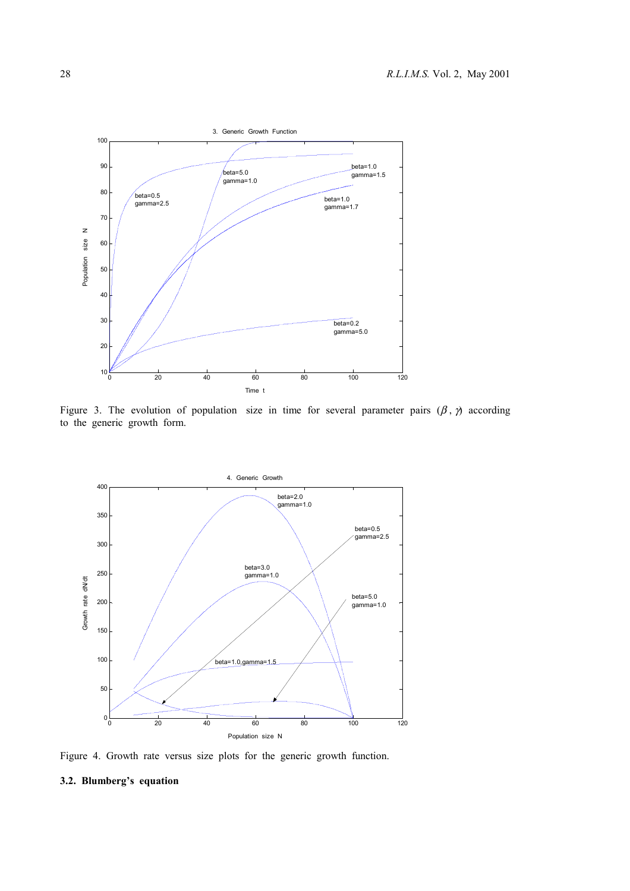

Figure 3. The evolution of population size in time for several parameter pairs  $(\beta, \gamma)$  according to the generic growth form.



Figure 4. Growth rate versus size plots for the generic growth function.

# **3.2. Blumberg's equation**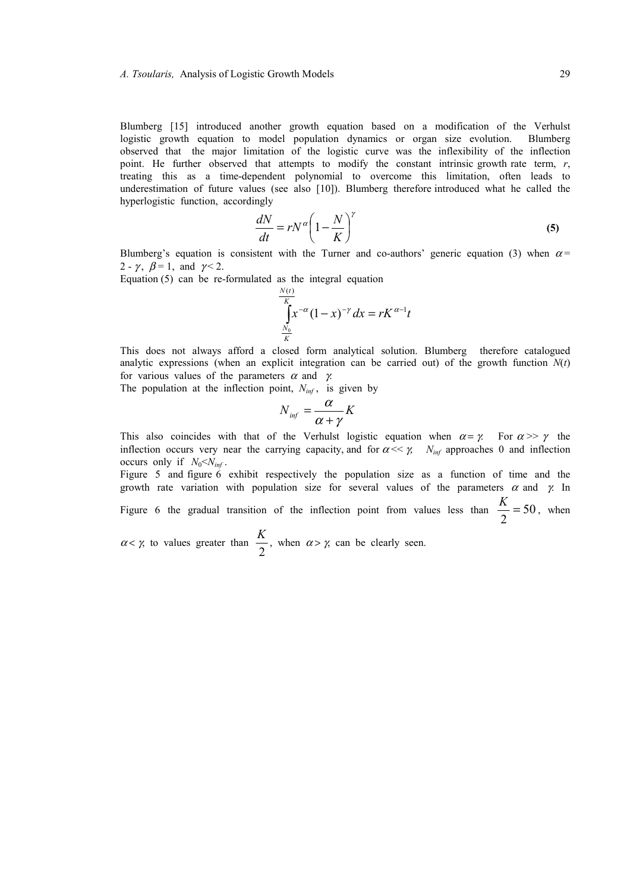Blumberg [15] introduced another growth equation based on a modification of the Verhulst logistic growth equation to model population dynamics or organ size evolution. Blumberg observed that the major limitation of the logistic curve was the inflexibility of the inflection point. He further observed that attempts to modify the constant intrinsic growth rate term, *r*, treating this as a time-dependent polynomial to overcome this limitation, often leads to underestimation of future values (see also [10]). Blumberg therefore introduced what he called the hyperlogistic function, accordingly

$$
\frac{dN}{dt} = rN^{\alpha} \left( 1 - \frac{N}{K} \right)^{\gamma}
$$
\n(5)

Blumberg's equation is consistent with the Turner and co-authors' generic equation (3) when  $\alpha$  = 2 -  $\gamma$ ,  $\beta$  = 1, and  $\gamma$  < 2.

Equation (5) can be re-formulated as the integral equation

$$
\int_{\frac{N_0}{K}}^{\frac{N(t)}{K}} x^{-\alpha} (1-x)^{-\gamma} dx = rK^{\alpha-1}t
$$

This does not always afford a closed form analytical solution. Blumberg therefore catalogued analytic expressions (when an explicit integration can be carried out) of the growth function  $N(t)$ for various values of the parameters  $\alpha$  and  $\gamma$ .

The population at the inflection point,  $N_{inf}$ , is given by

$$
N_{\text{inf}} = \frac{\alpha}{\alpha + \gamma} K
$$

This also coincides with that of the Verhulst logistic equation when  $\alpha = \gamma$ . For  $\alpha >> \gamma$  the inflection occurs very near the carrying capacity, and for  $\alpha \ll \gamma$ . *N<sub>inf</sub>* approaches 0 and inflection occurs only if  $N_0 < N_{inf}$ .

Figure 5 and figure 6 exhibit respectively the population size as a function of time and the growth rate variation with population size for several values of the parameters  $\alpha$  and  $\gamma$ . In Figure 6 the gradual transition of the inflection point from values less than  $\frac{K}{2} = 50$ , when

 $\alpha < \gamma$ , to values greater than  $\frac{1}{2}$ *K*<sub>2</sub>, when  $\alpha > \gamma$ , can be clearly seen.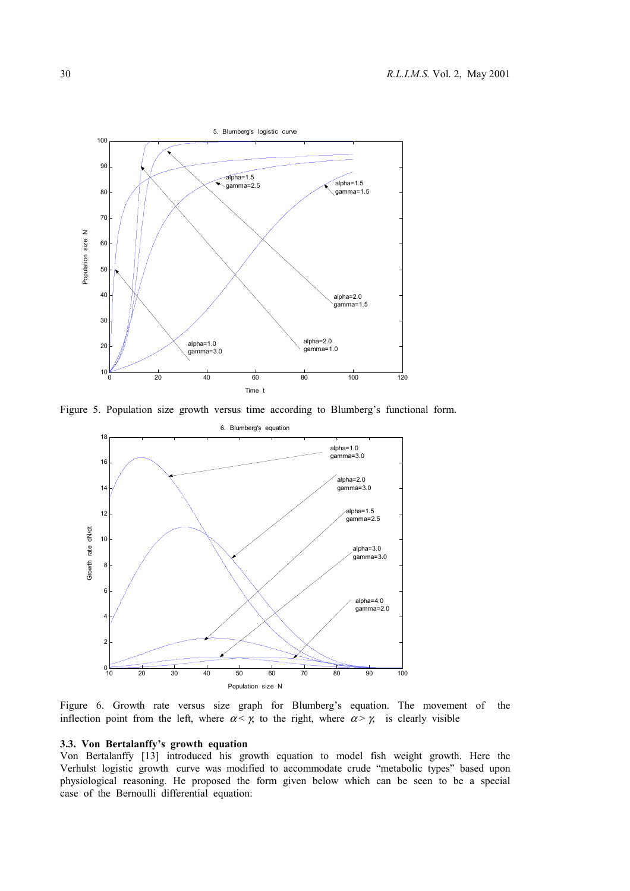

Figure 5. Population size growth versus time according to Blumberg's functional form.



Figure 6. Growth rate versus size graph for Blumberg's equation. The movement of the inflection point from the left, where  $\alpha < \gamma$  to the right, where  $\alpha > \gamma$  is clearly visible

# **3.3. Von Bertalanffy's growth equation**

Von Bertalanffy [13] introduced his growth equation to model fish weight growth. Here the Verhulst logistic growth curve was modified to accommodate crude "metabolic types" based upon physiological reasoning. He proposed the form given below which can be seen to be a special case of the Bernoulli differential equation: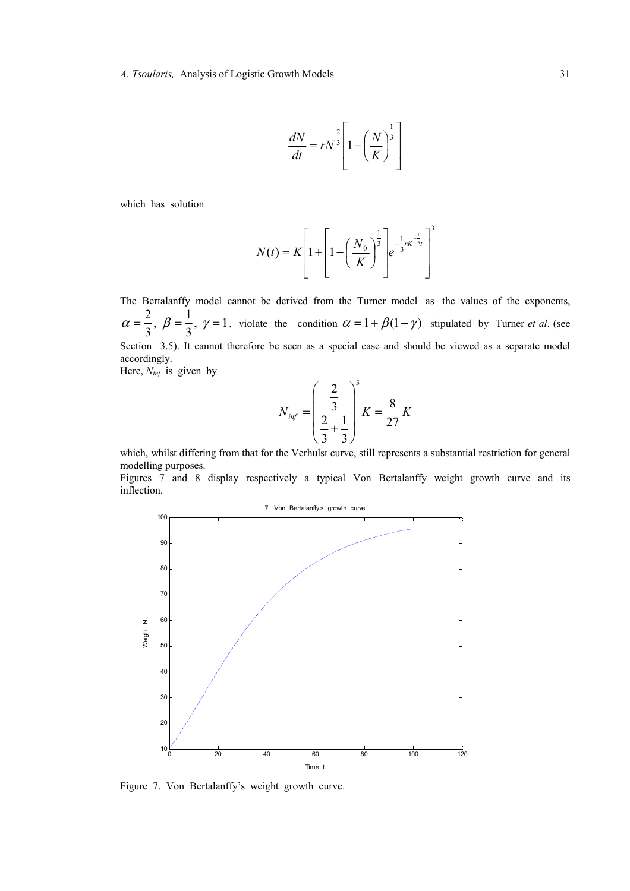$$
\frac{dN}{dt} = rN^{\frac{2}{3}} \left[ 1 - \left(\frac{N}{K}\right)^{\frac{1}{3}} \right]
$$

which has solution

$$
N(t) = K \left[ 1 + \left[ 1 - \left( \frac{N_0}{K} \right)^{\frac{1}{3}} \right] e^{-\frac{1}{3}rK^{-\frac{1}{3}}t} \right]^3
$$

The Bertalanffy model cannot be derived from the Turner model as the values of the exponents,  $, \gamma = 1$  $\alpha = \frac{2}{3}, \ \beta = \frac{1}{3}, \ \gamma = 1$ , violate the condition  $\alpha = 1 + \beta(1-\gamma)$  stipulated by Turner *et al.* (see Section 3.5). It cannot therefore be seen as a special case and should be viewed as a separate model accordingly.

Here, *Ninf* is given by

$$
N_{inf} = \left(\frac{\frac{2}{3}}{\frac{2}{3} + \frac{1}{3}}\right)^{3} K = \frac{8}{27} K
$$

which, whilst differing from that for the Verhulst curve, still represents a substantial restriction for general modelling purposes.

Figures 7 and 8 display respectively a typical Von Bertalanffy weight growth curve and its inflection.



Figure 7. Von Bertalanffy's weight growth curve.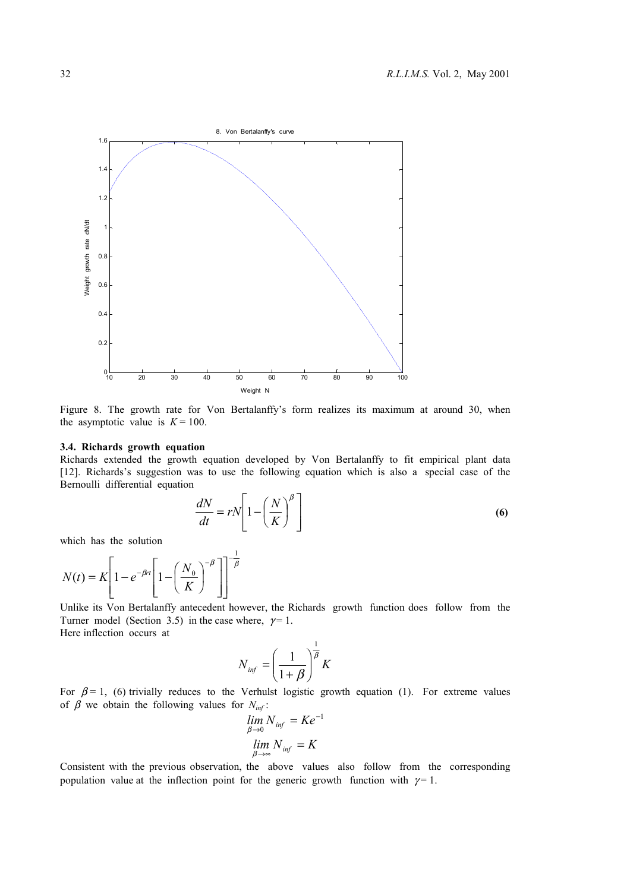

Figure 8. The growth rate for Von Bertalanffy's form realizes its maximum at around 30, when the asymptotic value is  $K = 100$ .

#### **3.4. Richards growth equation**

Richards extended the growth equation developed by Von Bertalanffy to fit empirical plant data [12]. Richards's suggestion was to use the following equation which is also a special case of the Bernoulli differential equation

$$
\frac{dN}{dt} = rN\left[1 - \left(\frac{N}{K}\right)^{\beta}\right]
$$
\n(6)

which has the solution

$$
N(t) = K \left[ 1 - e^{-\beta t} \left[ 1 - \left( \frac{N_0}{K} \right)^{-\beta} \right] \right]^{-\frac{1}{\beta}}
$$

Unlike its Von Bertalanffy antecedent however, the Richards growth function does follow from the Turner model (Section 3.5) in the case where,  $\gamma = 1$ . Here inflection occurs at

$$
N_{\text{inf}} = \left(\frac{1}{1+\beta}\right)^{\frac{1}{\beta}} K
$$

For  $\beta = 1$ , (6) trivially reduces to the Verhulst logistic growth equation (1). For extreme values of  $\beta$  we obtain the following values for  $N_{inf}$ :

$$
\lim_{\beta \to 0} N_{inf} = Ke^{-1}
$$
  

$$
\lim_{\beta \to \infty} N_{inf} = K
$$

Consistent with the previous observation, the above values also follow from the corresponding population value at the inflection point for the generic growth function with  $\gamma = 1$ .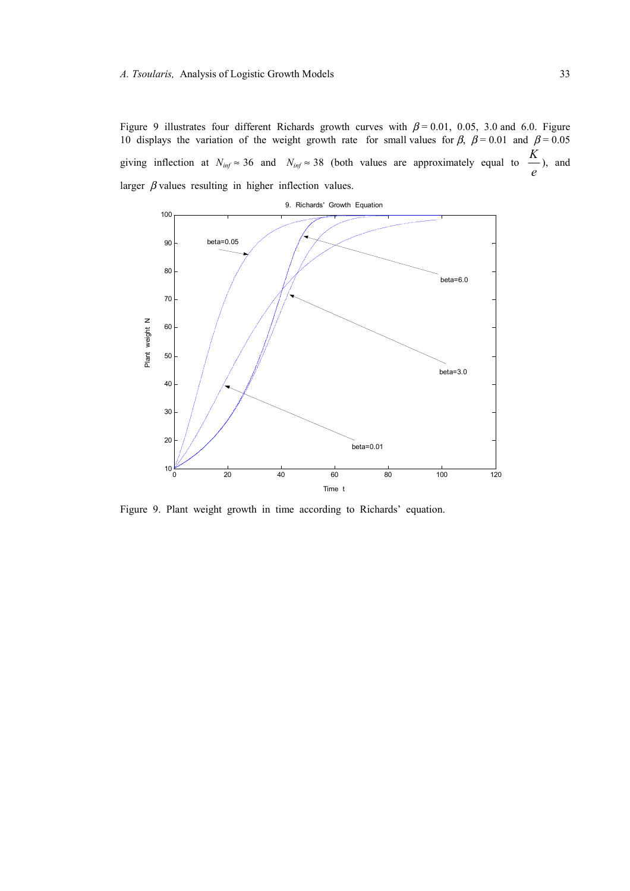Figure 9 illustrates four different Richards growth curves with  $\beta$  = 0.01, 0.05, 3.0 and 6.0. Figure 10 displays the variation of the weight growth rate for small values for  $\beta$ ,  $\beta$  = 0.01 and  $\beta$  = 0.05 giving inflection at  $N_{inf} \approx 36$  and  $N_{inf} \approx 38$  (both values are approximately equal to  $\frac{1}{e}$ *K* ), and larger  $\beta$  values resulting in higher inflection values.



Figure 9. Plant weight growth in time according to Richards' equation.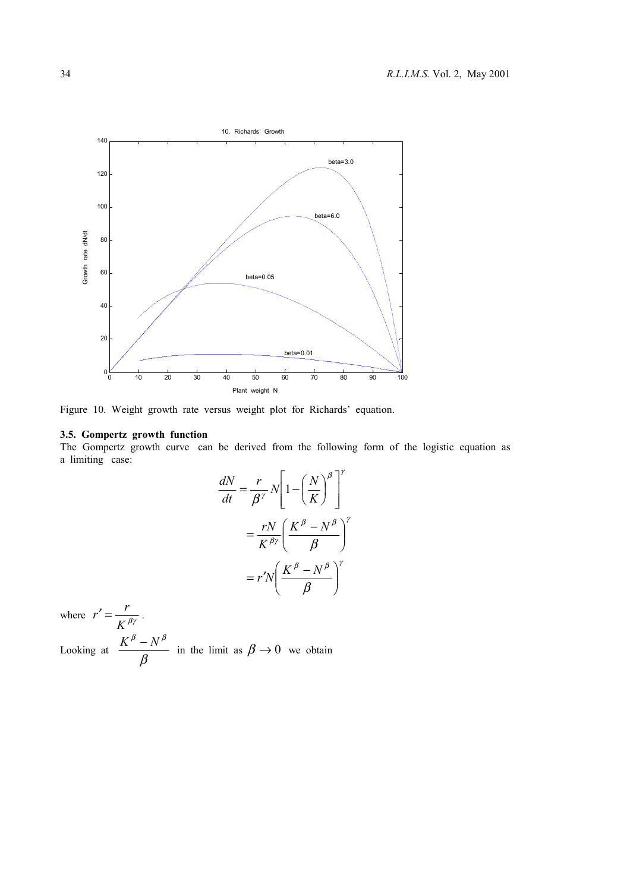

Figure 10. Weight growth rate versus weight plot for Richards' equation.

# **3.5. Gompertz growth function**

The Gompertz growth curve can be derived from the following form of the logistic equation as a limiting case:

$$
\frac{dN}{dt} = \frac{r}{\beta^{\gamma}} N \left[ 1 - \left(\frac{N}{K}\right)^{\beta} \right]^{\gamma}
$$

$$
= \frac{rN}{K^{\beta\gamma}} \left(\frac{K^{\beta} - N^{\beta}}{\beta}\right)^{\gamma}
$$

$$
= r'N \left(\frac{K^{\beta} - N^{\beta}}{\beta}\right)^{\gamma}
$$

where  $r' = \frac{K}{\beta \gamma}$  $r' = \frac{r}{\sqrt{r}}$ . Looking at  $\frac{1}{\beta}$  $\frac{K^{\beta} - N^{\beta}}{g}$  in the limit as  $\beta \rightarrow 0$  we obtain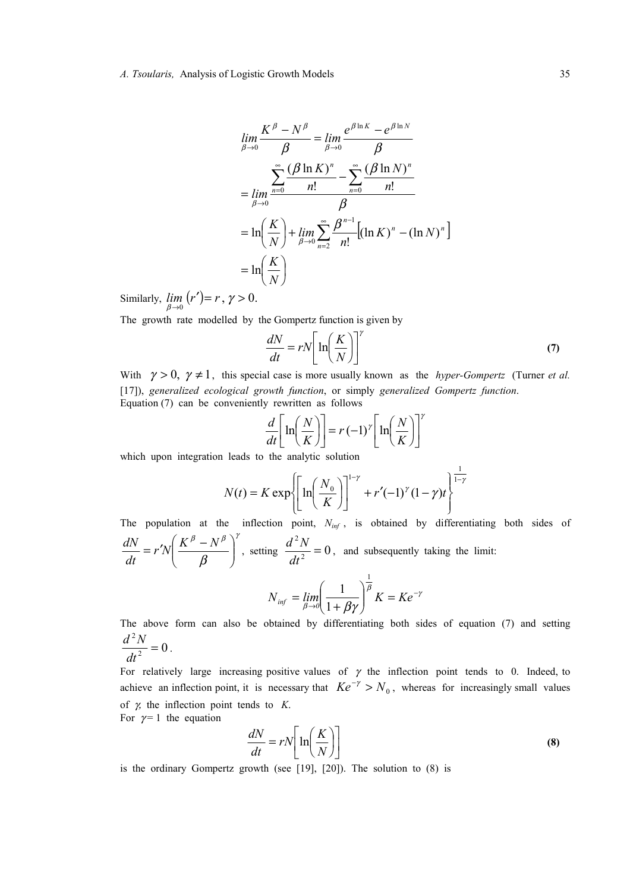$$
\lim_{\beta \to 0} \frac{K^{\beta} - N^{\beta}}{\beta} = \lim_{\beta \to 0} \frac{e^{\beta \ln K} - e^{\beta \ln N}}{\beta}
$$

$$
= \lim_{\beta \to 0} \frac{\sum_{n=0}^{\infty} (\beta \ln K)^n - \sum_{n=0}^{\infty} (\beta \ln N)^n}{n!}
$$

$$
= \ln \left(\frac{K}{N}\right) + \lim_{\beta \to 0} \sum_{n=2}^{\infty} \frac{\beta^{n-1}}{n!} \left[ (\ln K)^n - (\ln N)^n \right]
$$

$$
= \ln \left(\frac{K}{N}\right)
$$

Similarly,  $\lim_{\beta \to 0} (r') = r$ ,  $\gamma > 0$ .

The growth rate modelled by the Gompertz function is given by

$$
\frac{dN}{dt} = rN \left[ \ln \left( \frac{K}{N} \right) \right]'
$$
\n(7)

With  $\gamma > 0$ ,  $\gamma \neq 1$ , this special case is more usually known as the *hyper-Gompertz* (Turner *et al.*) [17]), *generalized ecological growth function*, or simply *generalized Gompertz function*. Equation (7) can be conveniently rewritten as follows

$$
\frac{d}{dt} \left[ \ln \left( \frac{N}{K} \right) \right] = r(-1)^{\gamma} \left[ \ln \left( \frac{N}{K} \right) \right]^{\gamma}
$$

which upon integration leads to the analytic solution

$$
N(t) = K \exp \left\{ \left[ \ln \left( \frac{N_0}{K} \right) \right]^{1-\gamma} + r'(-1)^{\gamma} (1-\gamma) t \right\}^{\frac{1}{1-\gamma}}
$$

The population at the inflection point,  $N_{inf}$ , is obtained by differentiating both sides of

$$
\frac{dN}{dt} = r'N\left(\frac{K^{\beta} - N^{\beta}}{\beta}\right)^{\gamma}
$$
, setting  $\frac{d^{2}N}{dt^{2}} = 0$ , and subsequently taking the limit:

$$
N_{\text{inf}} = \lim_{\beta \to 0} \left( \frac{1}{1 + \beta \gamma} \right)^{\overline{\beta}} K = K e^{-\gamma}
$$

The above form can also be obtained by differentiating both sides of equation (7) and setting  $\alpha$ 2  $\frac{d^2N}{dt^2} = 0$ .

$$
\frac{dt^2}{dt^2} = 0
$$

For relatively large increasing positive values of  $\gamma$  the inflection point tends to 0. Indeed, to achieve an inflection point, it is necessary that  $Ke^{-\gamma} > N_0$ , whereas for increasingly small values of γ, the inflection point tends to *K*.

For  $\gamma = 1$  the equation

$$
\frac{dN}{dt} = rN \left[ \ln \left( \frac{K}{N} \right) \right] \tag{8}
$$

is the ordinary Gompertz growth (see [19], [20]). The solution to (8) is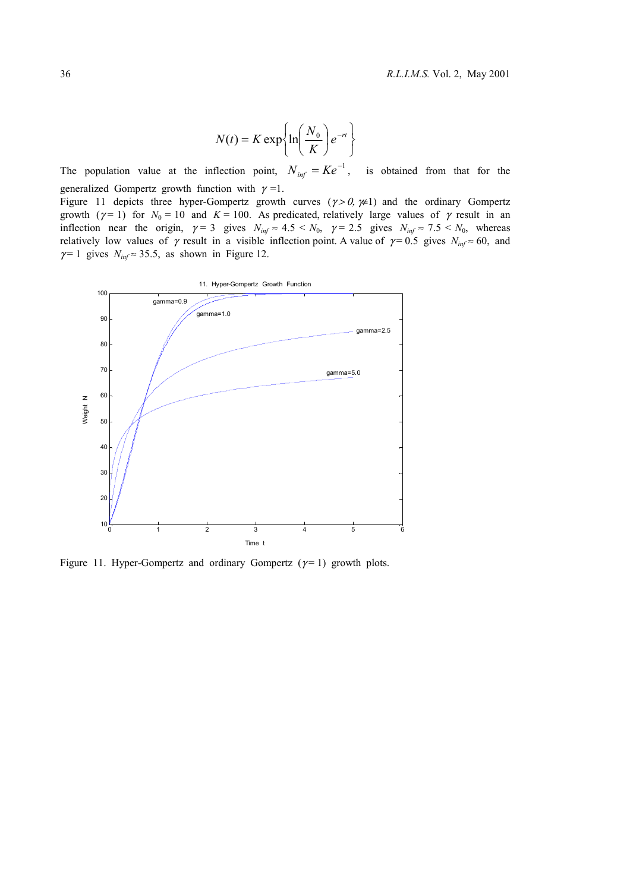$$
N(t) = K \exp\left\{\ln\left(\frac{N_0}{K}\right) e^{-rt}\right\}
$$

The population value at the inflection point,  $N_{inf} = Ke^{-1}$ , is obtained from that for the generalized Gompertz growth function with  $\gamma = 1$ .

Figure 11 depicts three hyper-Gompertz growth curves  $(\gamma > 0, \gamma \neq 1)$  and the ordinary Gompertz growth ( $\gamma$ = 1) for  $N_0$  = 10 and  $K$  = 100. As predicated, relatively large values of  $\gamma$  result in an inflection near the origin,  $\gamma = 3$  gives  $N_{inf} \approx 4.5 < N_0$ ,  $\gamma = 2.5$  gives  $N_{inf} \approx 7.5 < N_0$ , whereas relatively low values of  $\gamma$  result in a visible inflection point. A value of  $\gamma = 0.5$  gives  $N_{inf} \approx 60$ , and  $\gamma$ = 1 gives  $N_{inf} \approx 35.5$ , as shown in Figure 12.



Figure 11. Hyper-Gompertz and ordinary Gompertz ( $\gamma$  = 1) growth plots.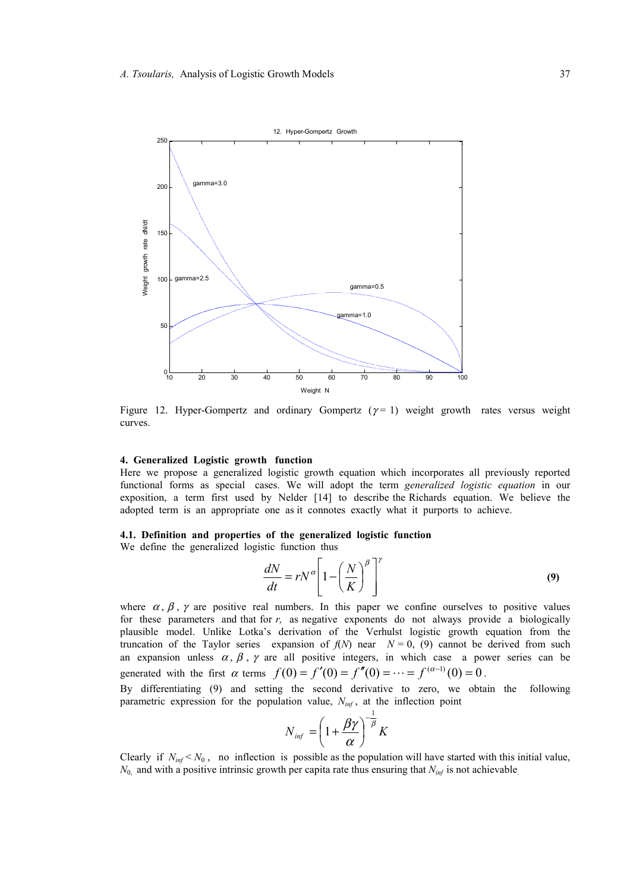

Figure 12. Hyper-Gompertz and ordinary Gompertz  $(\gamma = 1)$  weight growth rates versus weight curves.

# **4. Generalized Logistic growth function**

Here we propose a generalized logistic growth equation which incorporates all previously reported functional forms as special cases. We will adopt the term *generalized logistic equation* in our exposition, a term first used by Nelder [14] to describe the Richards equation. We believe the adopted term is an appropriate one as it connotes exactly what it purports to achieve.

#### **4.1. Definition and properties of the generalized logistic function**

We define the generalized logistic function thus

$$
\frac{dN}{dt} = rN^{\alpha} \left[ 1 - \left(\frac{N}{K}\right)^{\beta} \right]^{\gamma}
$$
\n(9)

where  $\alpha$ ,  $\beta$ ,  $\gamma$  are positive real numbers. In this paper we confine ourselves to positive values for these parameters and that for *r,* as negative exponents do not always provide a biologically plausible model. Unlike Lotka's derivation of the Verhulst logistic growth equation from the truncation of the Taylor series expansion of  $f(N)$  near  $N = 0$ , (9) cannot be derived from such an expansion unless  $\alpha$ ,  $\beta$ ,  $\gamma$  are all positive integers, in which case a power series can be generated with the first  $\alpha$  terms  $f(0) = f'(0) = f''(0) = \cdots = f^{(\alpha-1)}(0) = 0$ .

By differentiating (9) and setting the second derivative to zero, we obtain the following parametric expression for the population value,  $N_{inf}$ , at the inflection point

$$
N_{\text{inf}} = \left(1 + \frac{\beta \gamma}{\alpha}\right)^{-\frac{1}{\beta}} K
$$

Clearly if  $N_{inf} < N_0$ , no inflection is possible as the population will have started with this initial value,  $N_0$  and with a positive intrinsic growth per capita rate thus ensuring that  $N_{inf}$  is not achievable.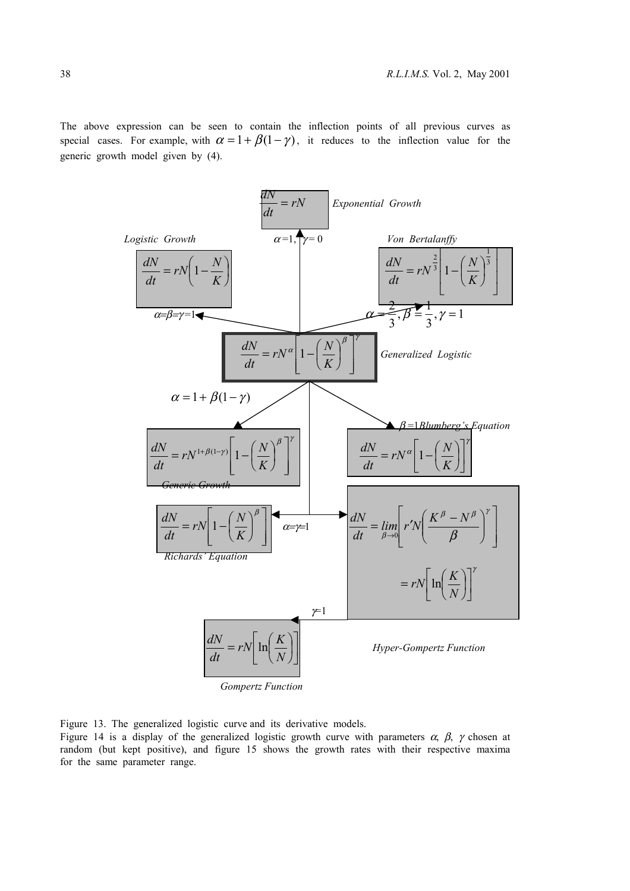The above expression can be seen to contain the inflection points of all previous curves as special cases. For example, with  $\alpha = 1 + \beta(1-\gamma)$ , it reduces to the inflection value for the generic growth model given by (4).



Figure 13. The generalized logistic curve and its derivative models.

Figure 14 is a display of the generalized logistic growth curve with parameters  $\alpha$ ,  $\beta$ ,  $\gamma$  chosen at random (but kept positive), and figure 15 shows the growth rates with their respective maxima for the same parameter range.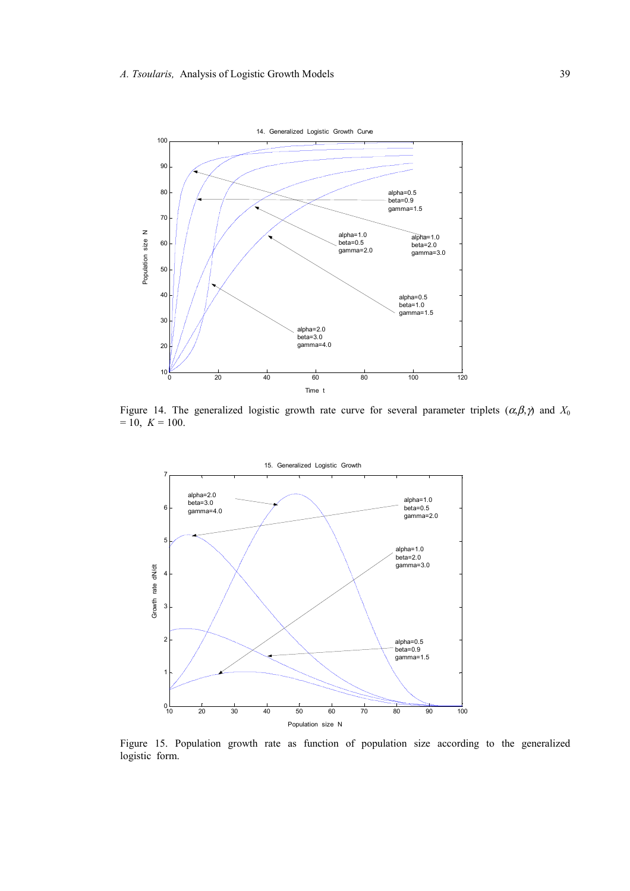

Figure 14. The generalized logistic growth rate curve for several parameter triplets  $(\alpha, \beta, \gamma)$  and  $X_0$  $= 10, K = 100.$ 



Figure 15. Population growth rate as function of population size according to the generalized logistic form.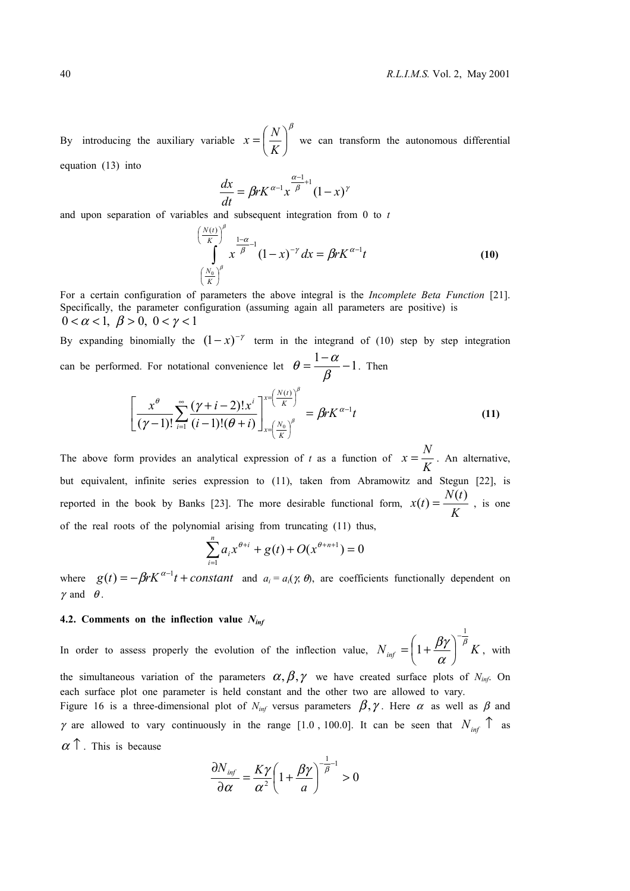By introducing the auxiliary variable β  $\overline{\phantom{a}}$ J  $\left(\frac{N}{\sigma^2}\right)$  $x = \left(\frac{N}{K}\right)^p$  we can transform the autonomous differential

equation (13) into

$$
\frac{dx}{dt} = \beta r K^{\alpha-1} x^{\frac{\alpha-1}{\beta}+1} (1-x)^{\gamma}
$$

and upon separation of variables and subsequent integration from 0 to *t*

$$
\left(\frac{\frac{N(t)}{K}}{\int_{0}^{N_0}\int_{0}^{1-\alpha}x^{-1}(1-x)^{-\gamma}dx = \beta rK^{\alpha-1}t\right)
$$
\n
$$
\left(\frac{N_0}{K}\right)^{\beta}
$$
\n(10)

For a certain configuration of parameters the above integral is the *Incomplete Beta Function* [21]. Specifically, the parameter configuration (assuming again all parameters are positive) is  $0 < \alpha < 1, \ \beta > 0, \ 0 < \gamma < 1$ 

By expanding binomially the  $(1-x)^{-\gamma}$  term in the integrand of (10) step by step integration can be performed. For notational convenience let  $\theta = \frac{1 - \alpha}{\beta} - 1$ . Then

$$
\left[\frac{x^{\theta}}{(\gamma-1)!} \sum_{i=1}^{\infty} \frac{(\gamma+i-2)! x^i}{(i-1)!(\theta+i)}\right]_{x=\left(\frac{N_0}{K}\right)^{\beta}}^{x=\left(\frac{N(t)}{K}\right)^{\beta}} = \beta r K^{\alpha-1} t \tag{11}
$$

The above form provides an analytical expression of *t* as a function of  $x = \frac{1}{K}$  $x = \frac{N}{\sigma}$ . An alternative, but equivalent, infinite series expression to (11), taken from Abramowitz and Stegun [22], is reported in the book by Banks [23]. The more desirable functional form,  $x(t) = \frac{W(t)}{K}$  $x(t) = \frac{N(t)}{r}$ , is one of the real roots of the polynomial arising from truncating (11) thus,

$$
\sum_{i=1}^{n} a_i x^{\theta+i} + g(t) + O(x^{\theta+n+1}) = 0
$$

where  $g(t) = -\beta r K^{\alpha-1} t + constant$  and  $a_i = a_i(\gamma, \theta)$ , are coefficients functionally dependent on  $\gamma$  and  $\theta$ .

#### **4.2. Comments on the inflection value** *Ninf*

In order to assess properly the evolution of the inflection value,  $N_{inf} = \left(1 + \frac{\beta \gamma}{N}\right)^{\beta} K$ α βγ 1 1 −  $\overline{\phantom{a}}$ J  $\left(1+\frac{\beta\gamma}{\gamma}\right)$ l  $=\left(1+\frac{\beta\gamma}{\beta}\right)^{-\beta}K$ , with

the simultaneous variation of the parameters  $\alpha, \beta, \gamma$  we have created surface plots of *N<sub>inf</sub>*. On each surface plot one parameter is held constant and the other two are allowed to vary.

Figure 16 is a three-dimensional plot of  $N_{inf}$  versus parameters  $\beta, \gamma$ . Here  $\alpha$  as well as  $\beta$  and  $\gamma$  are allowed to vary continuously in the range [1.0, 100.0]. It can be seen that  $N_{inf}$   $\uparrow$  as  $\alpha$   $\uparrow$  . This is because

$$
\frac{\partial N_{inf}}{\partial \alpha} = \frac{K\gamma}{\alpha^2} \left( 1 + \frac{\beta \gamma}{a} \right)^{-\frac{1}{\beta} - 1} > 0
$$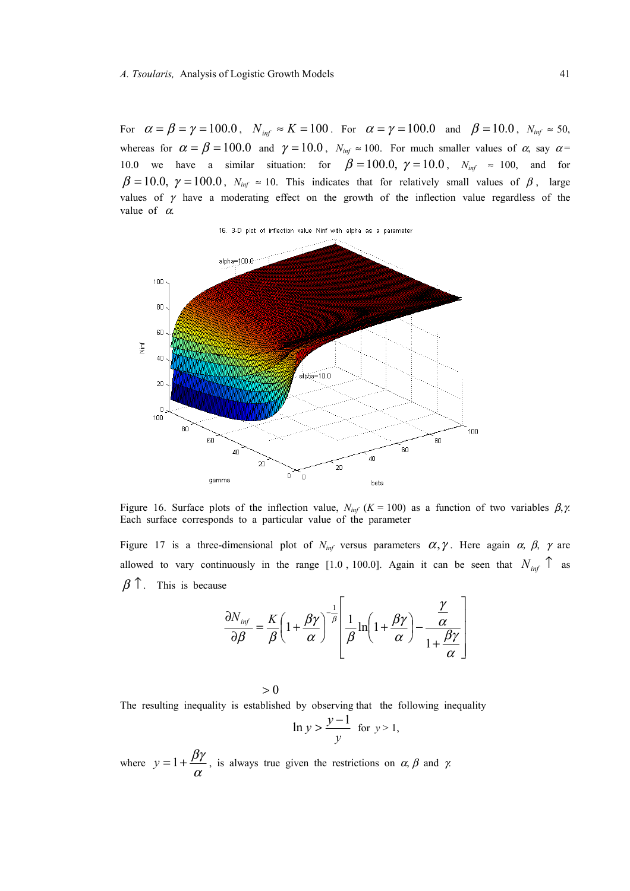For  $\alpha = \beta = \gamma = 100.0$ ,  $N_{\text{inf}} \approx K = 100$ . For  $\alpha = \gamma = 100.0$  and  $\beta = 10.0$ ,  $N_{\text{inf}} \approx 50$ , whereas for  $\alpha = \beta = 100.0$  and  $\gamma = 10.0$ ,  $N_{inf} \approx 100$ . For much smaller values of  $\alpha$ , say  $\alpha =$ 10.0 we have a similar situation: for  $\beta = 100.0, \gamma = 10.0, N_{inf} \approx 100$ , and for  $\beta = 10.0, \gamma = 100.0, N_{inf} \approx 10$ . This indicates that for relatively small values of  $\beta$ , large values of  $\gamma$  have a moderating effect on the growth of the inflection value regardless of the value of  $\alpha$ .



Figure 16. Surface plots of the inflection value,  $N_{inf}$  ( $K = 100$ ) as a function of two variables  $\beta, \gamma$ . Each surface corresponds to a particular value of the parameter

Figure 17 is a three-dimensional plot of  $N_{inf}$  versus parameters  $\alpha, \gamma$ . Here again  $\alpha, \beta, \gamma$  are allowed to vary continuously in the range [1.0, 100.0]. Again it can be seen that  $N_{inf}$   $\uparrow$  as  $\beta$  <sup>↑</sup>. This is because

$$
\frac{\partial N_{inf}}{\partial \beta} = \frac{K}{\beta} \left( 1 + \frac{\beta \gamma}{\alpha} \right)^{-\frac{1}{\beta}} \left[ \frac{1}{\beta} \ln \left( 1 + \frac{\beta \gamma}{\alpha} \right) - \frac{\frac{\gamma}{\alpha}}{1 + \frac{\beta \gamma}{\alpha}} \right]
$$

 $>0$ 

The resulting inequality is established by observing that the following inequality

$$
\ln y > \frac{y-1}{y} \text{ for } y > 1,
$$

where  $y = 1 + \frac{\beta \gamma}{\alpha}$ , is always true given the restrictions on  $\alpha$ ,  $\beta$  and  $\gamma$ .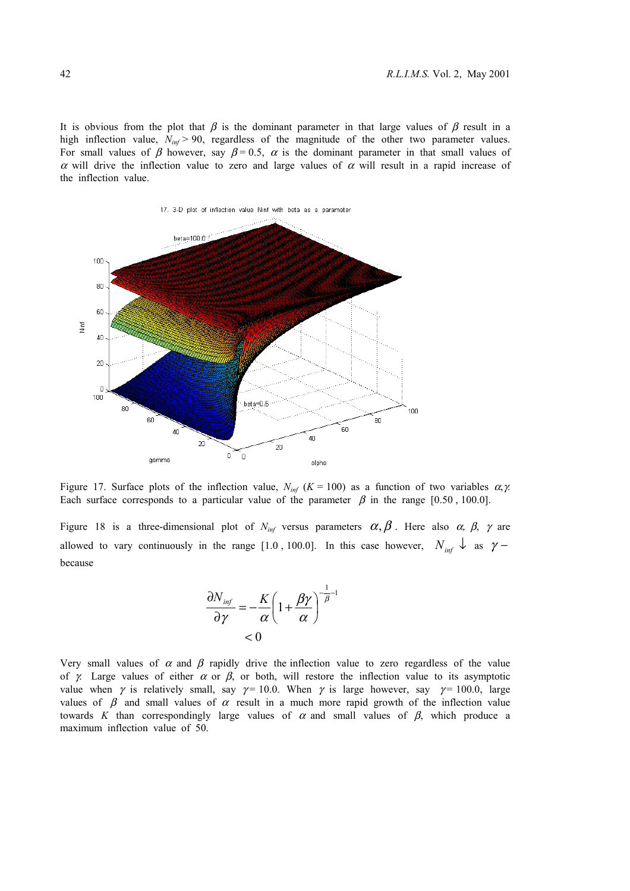It is obvious from the plot that  $\beta$  is the dominant parameter in that large values of  $\beta$  result in a high inflection value,  $N_{inf}$  > 90, regardless of the magnitude of the other two parameter values. For small values of  $\beta$  however, say  $\beta = 0.5$ ,  $\alpha$  is the dominant parameter in that small values of α will drive the inflection value to zero and large values of  $\alpha$  will result in a rapid increase of the inflection value.



Figure 17. Surface plots of the inflection value,  $N_{inf}$  ( $K = 100$ ) as a function of two variables  $\alpha, \gamma$ . Each surface corresponds to a particular value of the parameter  $\beta$  in the range [0.50, 100.0].

Figure 18 is a three-dimensional plot of  $N_{inf}$  versus parameters  $\alpha, \beta$ . Here also  $\alpha, \beta, \gamma$  are allowed to vary continuously in the range [1.0, 100.0]. In this case however,  $N_{inf}$   $\downarrow$  as  $\gamma$  – because

$$
\frac{\partial N_{inf}}{\partial \gamma} = -\frac{K}{\alpha} \left( 1 + \frac{\beta \gamma}{\alpha} \right)^{-\frac{1}{\beta} - 1}
$$
  
< 0

Very small values of  $\alpha$  and  $\beta$  rapidly drive the inflection value to zero regardless of the value of γ. Large values of either  $\alpha$  or  $\beta$ , or both, will restore the inflection value to its asymptotic value when  $\gamma$  is relatively small, say  $\gamma = 10.0$ . When  $\gamma$  is large however, say  $\gamma = 100.0$ , large values of  $\beta$  and small values of  $\alpha$  result in a much more rapid growth of the inflection value towards *K* than correspondingly large values of  $\alpha$  and small values of  $\beta$ , which produce a maximum inflection value of 50.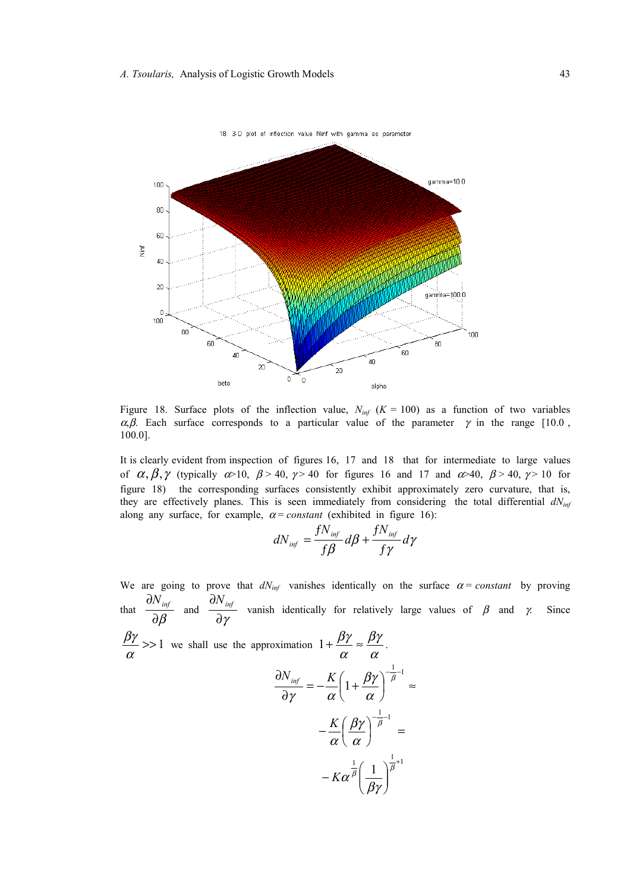

Figure 18. Surface plots of the inflection value,  $N_{inf}$  ( $K = 100$ ) as a function of two variables α,β. Each surface corresponds to a particular value of the parameter  $\gamma$  in the range [10.0] 100.0].

It is clearly evident from inspection of figures 16, 17 and 18 that for intermediate to large values of  $\alpha, \beta, \gamma$  (typically  $\alpha > 10$ ,  $\beta > 40$ ,  $\gamma > 40$  for figures 16 and 17 and  $\alpha > 40$ ,  $\beta > 40$ ,  $\gamma > 10$  for figure 18) the corresponding surfaces consistently exhibit approximately zero curvature, that is, they are effectively planes. This is seen immediately from considering the total differential  $dN_{inf}$ along any surface, for example,  $\alpha$  = *constant* (exhibited in figure 16):

$$
dN_{inf} = \frac{fN_{inf}}{f\beta} d\beta + \frac{fN_{inf}}{f\gamma} d\gamma
$$

We are going to prove that  $dN_{inf}$  vanishes identically on the surface  $\alpha$  = *constant* by proving that  $\frac{m}{\partial \beta}$  $\frac{\partial N_{\text{inf}}}{\partial \rho}$  and ∂γ  $\frac{\partial N_{inf}}{\partial \phi}$  vanish identically for relatively large values of  $\beta$  and  $\gamma$ . Since  $\frac{\beta \gamma}{\alpha}$  >> 1 we shall use the approximation  $1 + \frac{\beta \gamma}{\alpha} \approx \frac{\beta \gamma}{\alpha}$ βγ  $1+\frac{\beta\gamma}{\alpha}\approx\frac{\beta\gamma}{\alpha}$ .  $-K\alpha^{\frac{1}{\beta}}\left(\frac{1}{\alpha}\right)^{\frac{1}{\beta}+1}$  $-\frac{1}{2}$ -1  $\frac{1}{2}$ -1 1 −–  $\overline{\phantom{a}}$ J  $\backslash$  $\overline{\phantom{a}}$ l  $-K\alpha^{\frac{1}{\beta}}\left(\frac{1}{\alpha}\right)^{\frac{1}{\beta}}$  $\left(\frac{\beta\gamma}{\alpha}\right)^{-\overline{\beta}^{-1}}=$ l  $-\frac{K}{\sqrt{2\pi}}\left(\frac{\beta\gamma}{\beta}\right)^{-\frac{1}{\beta}}$  $\left(1+\frac{\beta\gamma}{\alpha}\right)^{-\overline{\beta}^{-1}}\approx$ l  $=-\frac{K}{-}\left(1+\right.$ ∂  $\partial N_{\text{inf}}$   $K \left( \begin{array}{cc} \beta \gamma \end{array} \right)^{-\frac{1}{\beta}}$  $K\alpha^{\beta}$   $\Big(\frac{1}{\beta\gamma}\Big)$ α βγ α α βγ γ α *K*  $N_{\text{inf}}$  *K*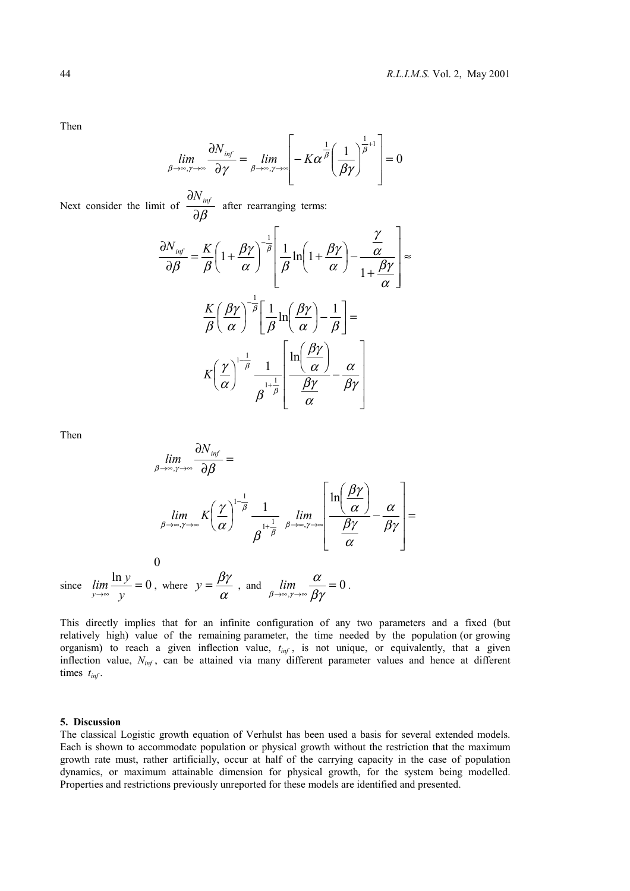Then

$$
\lim_{\beta \to \infty, \gamma \to \infty} \frac{\partial N_{\text{inf}}}{\partial \gamma} = \lim_{\beta \to \infty, \gamma \to \infty} \left[ -K\alpha^{\frac{1}{\beta}} \left( \frac{1}{\beta \gamma} \right)^{\frac{1}{\beta}+1} \right] = 0
$$

Next consider the limit of  $\frac{m}{\partial \beta}$  $\frac{\partial N_{\text{inf}}}{\partial \Omega}$  after rearranging terms:

$$
\frac{\partial N_{\text{inf}}}{\partial \beta} = \frac{K}{\beta} \left( 1 + \frac{\beta \gamma}{\alpha} \right)^{-\frac{1}{\beta}} \left[ \frac{1}{\beta} \ln \left( 1 + \frac{\beta \gamma}{\alpha} \right) - \frac{\frac{\gamma}{\alpha}}{1 + \frac{\beta \gamma}{\alpha}} \right] \approx
$$

$$
\frac{K}{\beta} \left( \frac{\beta \gamma}{\alpha} \right)^{-\frac{1}{\beta}} \left[ \frac{1}{\beta} \ln \left( \frac{\beta \gamma}{\alpha} \right) - \frac{1}{\beta} \right] =
$$

$$
K \left( \frac{\gamma}{\alpha} \right)^{1 - \frac{1}{\beta}} \frac{1}{\beta^{1 + \frac{1}{\beta}}} \left[ \frac{\ln \left( \frac{\beta \gamma}{\alpha} \right)}{\frac{\beta \gamma}{\alpha}} - \frac{\alpha}{\beta \gamma} \right]
$$

Then

$$
\lim_{\beta \to \infty, \gamma \to \infty} \frac{\partial N_{inf}}{\partial \beta} =
$$
\n
$$
\lim_{\beta \to \infty, \gamma \to \infty} K \left( \frac{\gamma}{\alpha} \right)^{1-\frac{1}{\beta}} \frac{1}{\beta^{\frac{1}{\beta}} \beta^{\frac{1}{\beta}} \beta^{\frac{1}{\beta}}}
$$
\n
$$
\lim_{\beta \to \infty, \gamma \to \infty} K \left( \frac{\gamma}{\alpha} \right)^{1-\frac{1}{\beta}} \frac{1}{\beta^{\frac{1}{\beta}} \beta^{\frac{1}{\beta}} \beta^{\frac{1}{\beta}}}
$$
\n
$$
\lim_{\beta \to \infty, \gamma \to \infty} K \left( \frac{\gamma}{\alpha} \right)^{1-\frac{1}{\beta}} = \frac{1}{\beta \gamma}
$$
\n
$$
\lim_{\beta \to \infty, \gamma \to \infty} K \left( \frac{\gamma}{\alpha} \right)^{1-\frac{1}{\beta}} = \frac{1}{\beta \gamma}
$$

since  $\lim_{y \to \infty} \frac{\ln y}{y} = 0$ , where  $y = \frac{\beta \gamma}{\alpha}$ , and  $\lim_{\beta \to \infty, \gamma \to \infty} \frac{\alpha}{\beta \gamma} = 0$  $\lim_{\beta \to \infty, \gamma \to \infty} \frac{\alpha}{\beta \gamma} = 0$ .

This directly implies that for an infinite configuration of any two parameters and a fixed (but relatively high) value of the remaining parameter, the time needed by the population (or growing organism) to reach a given inflection value,  $t_{inf}$ , is not unique, or equivalently, that a given inflection value, *Ninf* , can be attained via many different parameter values and hence at different times *tinf* .

# **5. Discussion**

The classical Logistic growth equation of Verhulst has been used a basis for several extended models. Each is shown to accommodate population or physical growth without the restriction that the maximum growth rate must, rather artificially, occur at half of the carrying capacity in the case of population dynamics, or maximum attainable dimension for physical growth, for the system being modelled. Properties and restrictions previously unreported for these models are identified and presented.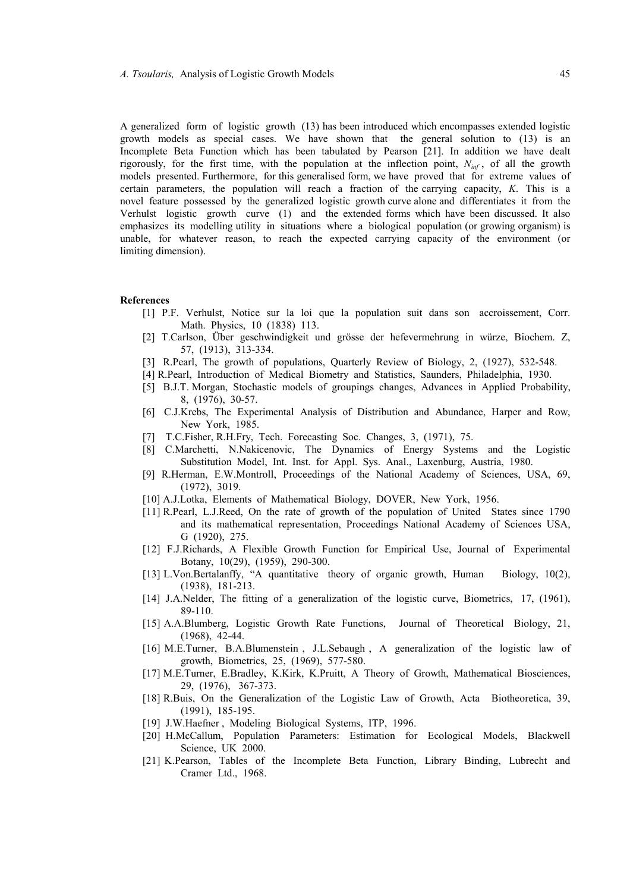A generalized form of logistic growth (13) has been introduced which encompasses extended logistic growth models as special cases. We have shown that the general solution to (13) is an Incomplete Beta Function which has been tabulated by Pearson [21]. In addition we have dealt rigorously, for the first time, with the population at the inflection point, *Ninf* , of all the growth models presented. Furthermore, for this generalised form, we have proved that for extreme values of certain parameters, the population will reach a fraction of the carrying capacity, *K*. This is a novel feature possessed by the generalized logistic growth curve alone and differentiates it from the Verhulst logistic growth curve (1) and the extended forms which have been discussed. It also emphasizes its modelling utility in situations where a biological population (or growing organism) is unable, for whatever reason, to reach the expected carrying capacity of the environment (or limiting dimension).

#### **References**

- [1] P.F. Verhulst, Notice sur la loi que la population suit dans son accroissement, Corr. Math. Physics, 10 (1838) 113.
- [2] T.Carlson, Über geschwindigkeit und grösse der hefevermehrung in würze, Biochem. Z, 57, (1913), 313-334.
- [3] R.Pearl, The growth of populations, Quarterly Review of Biology, 2, (1927), 532-548.
- [4] R.Pearl, Introduction of Medical Biometry and Statistics, Saunders, Philadelphia, 1930.
- [5] B.J.T. Morgan, Stochastic models of groupings changes, Advances in Applied Probability, 8, (1976), 30-57.
- [6] C.J.Krebs, The Experimental Analysis of Distribution and Abundance, Harper and Row, New York, 1985.
- [7] T.C.Fisher, R.H.Fry, Tech. Forecasting Soc. Changes, 3, (1971), 75.
- [8] C.Marchetti, N.Nakicenovic, The Dynamics of Energy Systems and the Logistic Substitution Model, Int. Inst. for Appl. Sys. Anal., Laxenburg, Austria, 1980.
- [9] R.Herman, E.W.Montroll, Proceedings of the National Academy of Sciences, USA, 69, (1972), 3019.
- [10] A.J.Lotka, Elements of Mathematical Biology, DOVER, New York, 1956.
- [11] R.Pearl, L.J.Reed, On the rate of growth of the population of United States since 1790 and its mathematical representation, Proceedings National Academy of Sciences USA, G (1920), 275.
- [12] F.J.Richards, A Flexible Growth Function for Empirical Use, Journal of Experimental Botany, 10(29), (1959), 290-300.
- [13] L.Von.Bertalanffy, "A quantitative theory of organic growth, Human Biology, 10(2), (1938), 181-213.
- [14] J.A.Nelder, The fitting of a generalization of the logistic curve, Biometrics, 17, (1961), 89-110.
- [15] A.A.Blumberg, Logistic Growth Rate Functions, Journal of Theoretical Biology, 21, (1968), 42-44.
- [16] M.E.Turner, B.A.Blumenstein , J.L.Sebaugh , A generalization of the logistic law of growth, Biometrics, 25, (1969), 577-580.
- [17] M.E.Turner, E.Bradley, K.Kirk, K.Pruitt, A Theory of Growth, Mathematical Biosciences, 29, (1976), 367-373.
- [18] R.Buis, On the Generalization of the Logistic Law of Growth, Acta Biotheoretica, 39, (1991), 185-195.
- [19] J.W.Haefner , Modeling Biological Systems, ITP, 1996.
- [20] H.McCallum, Population Parameters: Estimation for Ecological Models, Blackwell Science, UK 2000.
- [21] K.Pearson, Tables of the Incomplete Beta Function, Library Binding, Lubrecht and Cramer Ltd., 1968.